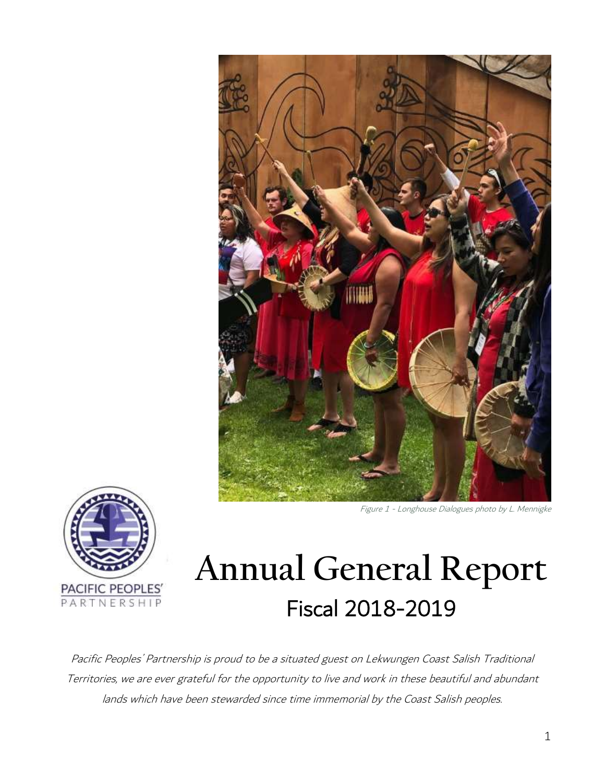





# **Annual General Report** Fiscal 2018-2019

Pacific Peoples' Partnership is proud to be a situated guest on Lekwungen Coast Salish Traditional Territories, we are ever grateful for the opportunity to live and work in these beautiful and abundant lands which have been stewarded since time immemorial by the Coast Salish peoples.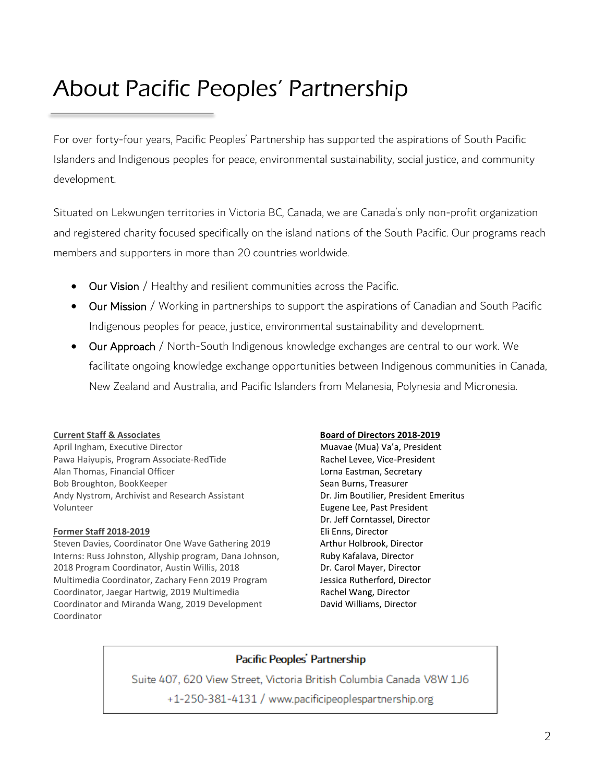# About Pacific Peoples' Partnership

For over forty-four years, Pacific Peoples' Partnership has supported the aspirations of South Pacific Islanders and Indigenous peoples for peace, environmental sustainability, social justice, and community development.

Situated on Lekwungen territories in Victoria BC, Canada, we are Canada's only non-profit organization and registered charity focused specifically on the island nations of the South Pacific. Our programs reach members and supporters in more than 20 countries worldwide.

- **Our Vision** / Healthy and resilient communities across the Pacific.
- Our Mission / Working in partnerships to support the aspirations of Canadian and South Pacific Indigenous peoples for peace, justice, environmental sustainability and development.
- Our Approach / North-South Indigenous knowledge exchanges are central to our work. We facilitate ongoing knowledge exchange opportunities between Indigenous communities in Canada, New Zealand and Australia, and Pacific Islanders from Melanesia, Polynesia and Micronesia.

#### **Current Staff & Associates**

April Ingham, Executive Director Pawa Haiyupis, Program Associate-RedTide Alan Thomas, Financial Officer Bob Broughton, BookKeeper Andy Nystrom, Archivist and Research Assistant Volunteer

#### **Former Staff 2018-2019**

Steven Davies, Coordinator One Wave Gathering 2019 Interns: Russ Johnston, Allyship program, Dana Johnson, 2018 Program Coordinator, Austin Willis, 2018 Multimedia Coordinator, Zachary Fenn 2019 Program Coordinator, Jaegar Hartwig, 2019 Multimedia Coordinator and Miranda Wang, 2019 Development Coordinator

#### **Board of Directors 2018-2019**

Muavae (Mua) Va'a, President Rachel Levee, Vice-President Lorna Eastman, Secretary Sean Burns, Treasurer Dr. Jim Boutilier, President Emeritus Eugene Lee, Past President Dr. Jeff Corntassel, Director Eli Enns, Director Arthur Holbrook, Director Ruby Kafalava, Director Dr. Carol Mayer, Director Jessica Rutherford, Director Rachel Wang, Director David Williams, Director

### Pacific Peoples' Partnership

Suite 407, 620 View Street, Victoria British Columbia Canada V8W 1J6 +1-250-381-4131 / www.pacificipeoplespartnership.org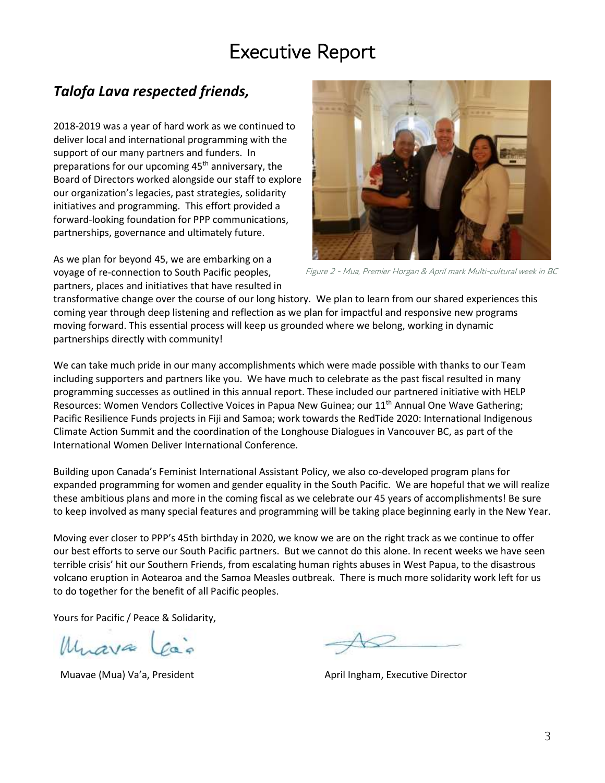# Executive Report

## *Talofa Lava respected friends,*

2018-2019 was a year of hard work as we continued to deliver local and international programming with the support of our many partners and funders. In preparations for our upcoming  $45<sup>th</sup>$  anniversary, the Board of Directors worked alongside our staff to explore our organization's legacies, past strategies, solidarity initiatives and programming. This effort provided a forward-looking foundation for PPP communications, partnerships, governance and ultimately future.

As we plan for beyond 45, we are embarking on a voyage of re-connection to South Pacific peoples, partners, places and initiatives that have resulted in



Figure 2 - Mua, Premier Horgan & April mark Multi-cultural week in BC

transformative change over the course of our long history. We plan to learn from our shared experiences this coming year through deep listening and reflection as we plan for impactful and responsive new programs moving forward. This essential process will keep us grounded where we belong, working in dynamic partnerships directly with community!

We can take much pride in our many accomplishments which were made possible with thanks to our Team including supporters and partners like you. We have much to celebrate as the past fiscal resulted in many programming successes as outlined in this annual report. These included our partnered initiative with HELP Resources: Women Vendors Collective Voices in Papua New Guinea; our 11<sup>th</sup> Annual One Wave Gathering; Pacific Resilience Funds projects in Fiji and Samoa; work towards the RedTide 2020: International Indigenous Climate Action Summit and the coordination of the Longhouse Dialogues in Vancouver BC, as part of the International Women Deliver International Conference.

Building upon Canada's Feminist International Assistant Policy, we also co-developed program plans for expanded programming for women and gender equality in the South Pacific. We are hopeful that we will realize these ambitious plans and more in the coming fiscal as we celebrate our 45 years of accomplishments! Be sure to keep involved as many special features and programming will be taking place beginning early in the New Year.

Moving ever closer to PPP's 45th birthday in 2020, we know we are on the right track as we continue to offer our best efforts to serve our South Pacific partners. But we cannot do this alone. In recent weeks we have seen terrible crisis' hit our Southern Friends, from escalating human rights abuses in West Papua, to the disastrous volcano eruption in Aotearoa and the Samoa Measles outbreak. There is much more solidarity work left for us to do together for the benefit of all Pacific peoples.

Yours for Pacific / Peace & Solidarity,

Muava La

Muavae (Mua) Va'a, President April Ingham, Executive Director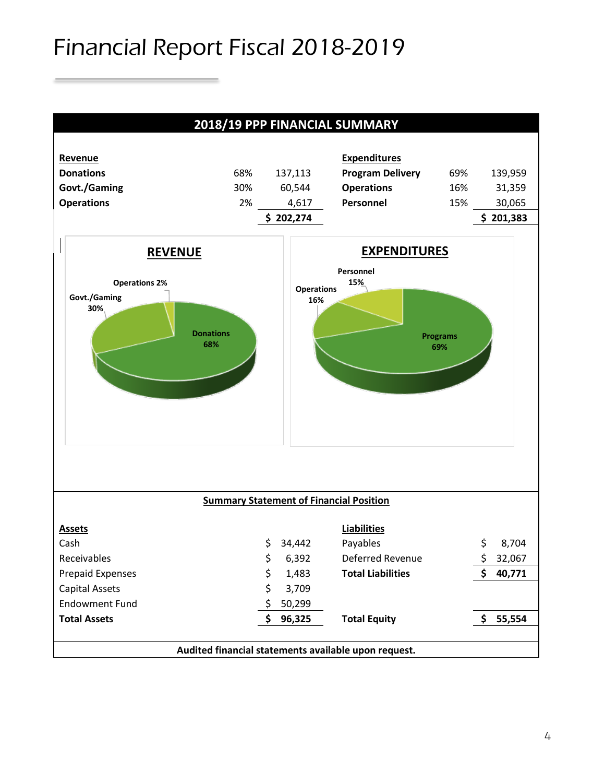# Financial Report Fiscal 2018-2019

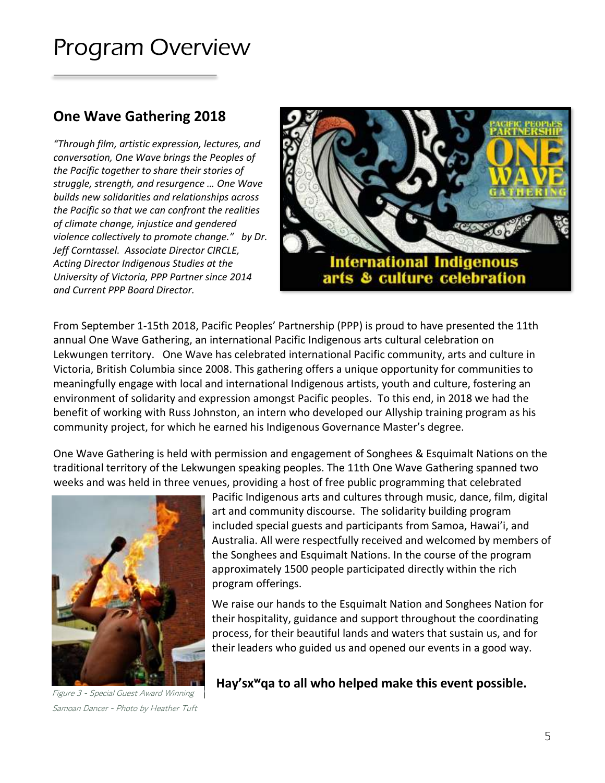# Program Overview

### **One Wave Gathering 2018**

*"Through film, artistic expression, lectures, and conversation, One Wave brings the Peoples of the Pacific together to share their stories of struggle, strength, and resurgence … One Wave builds new solidarities and relationships across the Pacific so that we can confront the realities of climate change, injustice and gendered violence collectively to promote change." by Dr. Jeff Corntassel. Associate Director CIRCLE, Acting Director Indigenous Studies at the University of Victoria, PPP Partner since 2014 and Current PPP Board Director.*



From September 1-15th 2018, Pacific Peoples' Partnership (PPP) is proud to have presented the 11th annual One Wave Gathering, an international Pacific Indigenous arts cultural celebration on Lekwungen territory. One Wave has celebrated international Pacific community, arts and culture in Victoria, British Columbia since 2008. This gathering offers a unique opportunity for communities to meaningfully engage with local and international Indigenous artists, youth and culture, fostering an environment of solidarity and expression amongst Pacific peoples. To this end, in 2018 we had the benefit of working with Russ Johnston, an intern who developed our Allyship training program as his community project, for which he earned his Indigenous Governance Master's degree.

One Wave Gathering is held with permission and engagement of Songhees & Esquimalt Nations on the traditional territory of the Lekwungen speaking peoples. The 11th One Wave Gathering spanned two weeks and was held in three venues, providing a host of free public programming that celebrated



Pacific Indigenous arts and cultures through music, dance, film, digital art and community discourse. The solidarity building program included special guests and participants from Samoa, Hawai'i, and Australia. All were respectfully received and welcomed by members of the Songhees and Esquimalt Nations. In the course of the program approximately 1500 people participated directly within the rich program offerings.

We raise our hands to the Esquimalt Nation and Songhees Nation for their hospitality, guidance and support throughout the coordinating process, for their beautiful lands and waters that sustain us, and for their leaders who guided us and opened our events in a good way.

Figure 3 - Special Guest Award Winning Samoan Dancer - Photo by Heather Tuft

**Hay'sxʷqa to all who helped make this event possible.**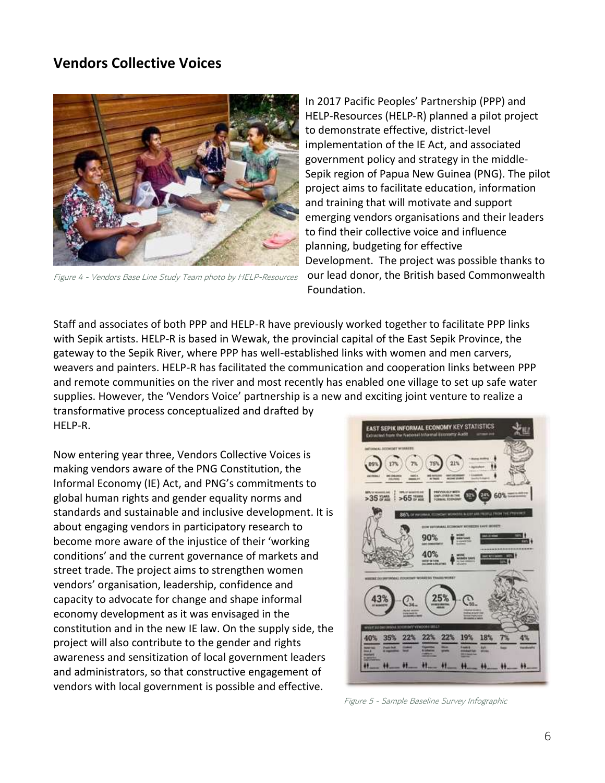### **Vendors Collective Voices**



Figure 4 - Vendors Base Line Study Team photo by HELP-Resources

In 2017 Pacific Peoples' Partnership (PPP) and HELP-Resources (HELP-R) planned a pilot project to demonstrate effective, district-level implementation of the IE Act, and associated government policy and strategy in the middle-Sepik region of Papua New Guinea (PNG). The pilot project aims to facilitate education, information and training that will motivate and support emerging vendors organisations and their leaders to find their collective voice and influence planning, budgeting for effective Development. The project was possible thanks to our lead donor, the British based Commonwealth Foundation.

Staff and associates of both PPP and HELP-R have previously worked together to facilitate PPP links with Sepik artists. HELP-R is based in Wewak, the provincial capital of the East Sepik Province, the gateway to the Sepik River, where PPP has well-established links with women and men carvers, weavers and painters. HELP-R has facilitated the communication and cooperation links between PPP and remote communities on the river and most recently has enabled one village to set up safe water supplies. However, the 'Vendors Voice' partnership is a new and exciting joint venture to realize a

transformative process conceptualized and drafted by HELP-R.

Now entering year three, Vendors Collective Voices is making vendors aware of the PNG Constitution, the Informal Economy (IE) Act, and PNG's commitments to global human rights and gender equality norms and standards and sustainable and inclusive development. It is about engaging vendors in participatory research to become more aware of the injustice of their 'working conditions' and the current governance of markets and street trade. The project aims to strengthen women vendors' organisation, leadership, confidence and capacity to advocate for change and shape informal economy development as it was envisaged in the constitution and in the new IE law. On the supply side, the project will also contribute to the gender and rights awareness and sensitization of local government leaders and administrators, so that constructive engagement of vendors with local government is possible and effective.



Figure 5 - Sample Baseline Survey Infographic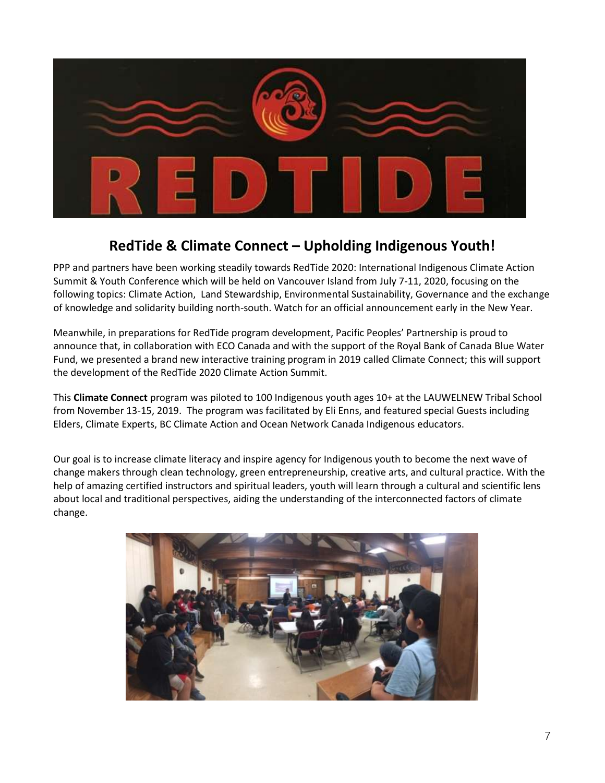

## **RedTide & Climate Connect – Upholding Indigenous Youth!**

PPP and partners have been working steadily towards RedTide 2020: International Indigenous Climate Action Summit & Youth Conference which will be held on Vancouver Island from July 7-11, 2020, focusing on the following topics: Climate Action, Land Stewardship, Environmental Sustainability, Governance and the exchange of knowledge and solidarity building north-south. Watch for an official announcement early in the New Year.

Meanwhile, in preparations for RedTide program development, Pacific Peoples' Partnership is proud to announce that, in collaboration with ECO Canada and with the support of the Royal Bank of Canada Blue Water Fund, we presented a brand new interactive training program in 2019 called Climate Connect; this will support the development of the RedTide 2020 Climate Action Summit.

This **Climate Connect** program was piloted to 100 Indigenous youth ages 10+ at the LAUWELNEW Tribal School from November 13-15, 2019. The program was facilitated by Eli Enns, and featured special Guests including Elders, Climate Experts, BC Climate Action and Ocean Network Canada Indigenous educators.

Our goal is to increase climate literacy and inspire agency for Indigenous youth to become the next wave of change makers through clean technology, green entrepreneurship, creative arts, and cultural practice. With the help of amazing certified instructors and spiritual leaders, youth will learn through a cultural and scientific lens about local and traditional perspectives, aiding the understanding of the interconnected factors of climate change.

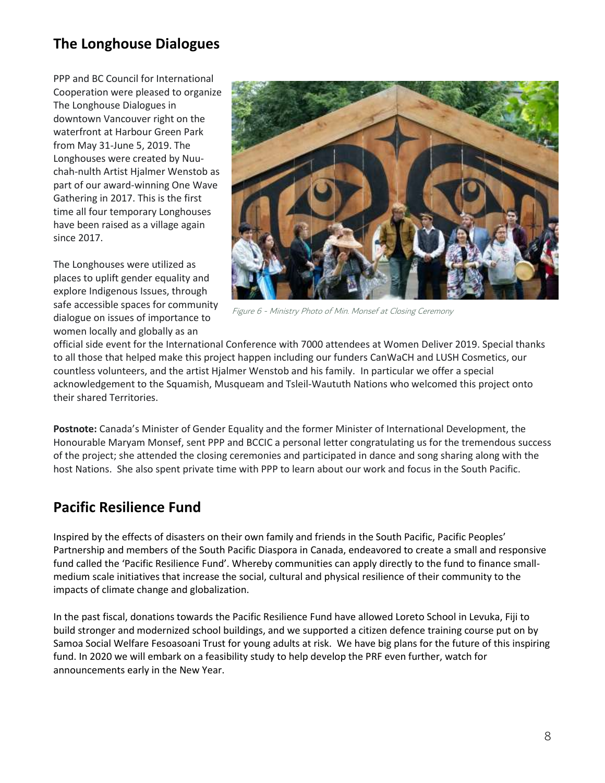## **The Longhouse Dialogues**

PPP and BC Council for International Cooperation were pleased to organize The Longhouse Dialogues in downtown Vancouver right on the waterfront at Harbour Green Park from May 31-June 5, 2019. The Longhouses were created by Nuuchah-nulth Artist Hjalmer Wenstob as part of our award-winning One Wave Gathering in 2017. This is the first time all four temporary Longhouses have been raised as a village again since 2017.

The Longhouses were utilized as places to uplift gender equality and explore Indigenous Issues, through safe accessible spaces for community dialogue on issues of importance to women locally and globally as an



Figure 6 - Ministry Photo of Min. Monsef at Closing Ceremony

official side event for the International Conference with 7000 attendees at Women Deliver 2019. Special thanks to all those that helped make this project happen including our funders CanWaCH and LUSH Cosmetics, our countless volunteers, and the artist Hjalmer Wenstob and his family. In particular we offer a special acknowledgement to the Squamish, Musqueam and Tsleil-Waututh Nations who welcomed this project onto their shared Territories.

**Postnote:** Canada's Minister of Gender Equality and the former Minister of International Development, the Honourable Maryam Monsef, sent PPP and BCCIC a personal letter congratulating us for the tremendous success of the project; she attended the closing ceremonies and participated in dance and song sharing along with the host Nations. She also spent private time with PPP to learn about our work and focus in the South Pacific.

### **Pacific Resilience Fund**

Inspired by the effects of disasters on their own family and friends in the South Pacific, Pacific Peoples' Partnership and members of the South Pacific Diaspora in Canada, endeavored to create a small and responsive fund called the 'Pacific Resilience Fund'. Whereby communities can apply directly to the fund to finance smallmedium scale initiatives that increase the social, cultural and physical resilience of their community to the impacts of climate change and globalization.

In the past fiscal, donations towards the Pacific Resilience Fund have allowed Loreto School in Levuka, Fiji to build stronger and modernized school buildings, and we supported a citizen defence training course put on by Samoa Social Welfare Fesoasoani Trust for young adults at risk. We have big plans for the future of this inspiring fund. In 2020 we will embark on a feasibility study to help develop the PRF even further, watch for announcements early in the New Year.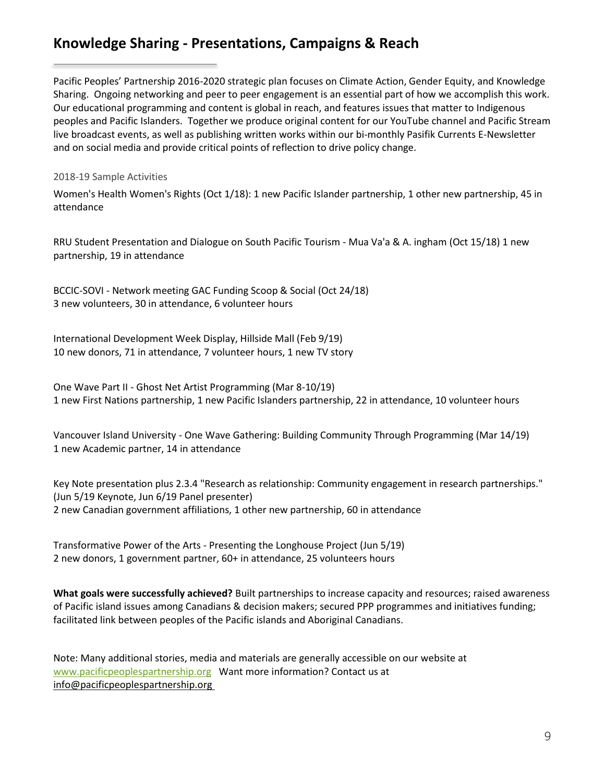### **Knowledge Sharing - Presentations, Campaigns & Reach**

Pacific Peoples' Partnership 2016-2020 strategic plan focuses on Climate Action, Gender Equity, and Knowledge Sharing. Ongoing networking and peer to peer engagement is an essential part of how we accomplish this work. Our educational programming and content is global in reach, and features issues that matter to Indigenous peoples and Pacific Islanders. Together we produce original content for our YouTube channel and Pacific Stream live broadcast events, as well as publishing written works within our bi-monthly Pasifik Currents E-Newsletter and on social media and provide critical points of reflection to drive policy change.

#### 2018-19 Sample Activities

Women's Health Women's Rights (Oct 1/18): 1 new Pacific Islander partnership, 1 other new partnership, 45 in attendance

RRU Student Presentation and Dialogue on South Pacific Tourism - Mua Va'a & A. ingham (Oct 15/18) 1 new partnership, 19 in attendance

BCCIC-SOVI - Network meeting GAC Funding Scoop & Social (Oct 24/18) 3 new volunteers, 30 in attendance, 6 volunteer hours

International Development Week Display, Hillside Mall (Feb 9/19) 10 new donors, 71 in attendance, 7 volunteer hours, 1 new TV story

One Wave Part II - Ghost Net Artist Programming (Mar 8-10/19) 1 new First Nations partnership, 1 new Pacific Islanders partnership, 22 in attendance, 10 volunteer hours

Vancouver Island University - One Wave Gathering: Building Community Through Programming (Mar 14/19) 1 new Academic partner, 14 in attendance

Key Note presentation plus 2.3.4 "Research as relationship: Community engagement in research partnerships." (Jun 5/19 Keynote, Jun 6/19 Panel presenter) 2 new Canadian government affiliations, 1 other new partnership, 60 in attendance

Transformative Power of the Arts - Presenting the Longhouse Project (Jun 5/19) 2 new donors, 1 government partner, 60+ in attendance, 25 volunteers hours

**What goals were successfully achieved?** Built partnerships to increase capacity and resources; raised awareness of Pacific island issues among Canadians & decision makers; secured PPP programmes and initiatives funding; facilitated link between peoples of the Pacific islands and Aboriginal Canadians.

Note: Many additional stories, media and materials are generally accessible on our website a[t](http://www.pacificpeoplespartnership.org/) [www.pacificpeoplespartnership.org](http://www.pacificpeoplespartnership.org/) Want more information? Contact us at info@pacificpeoplespartnership.org